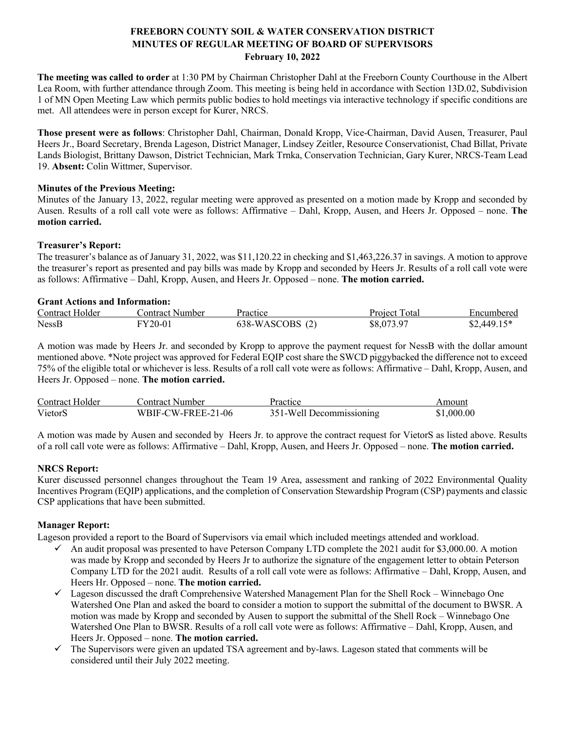# **FREEBORN COUNTY SOIL & WATER CONSERVATION DISTRICT MINUTES OF REGULAR MEETING OF BOARD OF SUPERVISORS February 10, 2022**

**The meeting was called to order** at 1:30 PM by Chairman Christopher Dahl at the Freeborn County Courthouse in the Albert Lea Room, with further attendance through Zoom. This meeting is being held in accordance with Section 13D.02, Subdivision 1 of MN Open Meeting Law which permits public bodies to hold meetings via interactive technology if specific conditions are met. All attendees were in person except for Kurer, NRCS.

**Those present were as follows**: Christopher Dahl, Chairman, Donald Kropp, Vice-Chairman, David Ausen, Treasurer, Paul Heers Jr., Board Secretary, Brenda Lageson, District Manager, Lindsey Zeitler, Resource Conservationist, Chad Billat, Private Lands Biologist, Brittany Dawson, District Technician, Mark Trnka, Conservation Technician, Gary Kurer, NRCS-Team Lead 19. **Absent:** Colin Wittmer, Supervisor.

## **Minutes of the Previous Meeting:**

Minutes of the January 13, 2022, regular meeting were approved as presented on a motion made by Kropp and seconded by Ausen. Results of a roll call vote were as follows: Affirmative – Dahl, Kropp, Ausen, and Heers Jr. Opposed – none. **The motion carried.**

#### **Treasurer's Report:**

The treasurer's balance as of January 31, 2022, was \$11,120.22 in checking and \$1,463,226.37 in savings. A motion to approve the treasurer's report as presented and pay bills was made by Kropp and seconded by Heers Jr. Results of a roll call vote were as follows: Affirmative – Dahl, Kropp, Ausen, and Heers Jr. Opposed – none. **The motion carried.**

#### **Grant Actions and Information:**

| Contract Holder | Contract Number | Practice        | Project Total | Encumbered   |
|-----------------|-----------------|-----------------|---------------|--------------|
| <b>NessB</b>    | FY20-01         | 638-WASCOBS (2) | \$8,073.97    | $$2,449.15*$ |

A motion was made by Heers Jr. and seconded by Kropp to approve the payment request for NessB with the dollar amount mentioned above. \*Note project was approved for Federal EQIP cost share the SWCD piggybacked the difference not to exceed 75% of the eligible total or whichever is less. Results of a roll call vote were as follows: Affirmative – Dahl, Kropp, Ausen, and Heers Jr. Opposed – none. **The motion carried.**

| Contract Holder | Contract Number    | Practice                 | Amount     |
|-----------------|--------------------|--------------------------|------------|
| VietorS         | WBIF-CW-FREE-21-06 | 351-Well Decommissioning | \$1,000.00 |

A motion was made by Ausen and seconded by Heers Jr. to approve the contract request for VietorS as listed above. Results of a roll call vote were as follows: Affirmative – Dahl, Kropp, Ausen, and Heers Jr. Opposed – none. **The motion carried.**

## **NRCS Report:**

Kurer discussed personnel changes throughout the Team 19 Area, assessment and ranking of 2022 Environmental Quality Incentives Program (EQIP) applications, and the completion of Conservation Stewardship Program (CSP) payments and classic CSP applications that have been submitted.

## **Manager Report:**

Lageson provided a report to the Board of Supervisors via email which included meetings attended and workload.

- An audit proposal was presented to have Peterson Company LTD complete the 2021 audit for \$3,000.00. A motion was made by Kropp and seconded by Heers Jr to authorize the signature of the engagement letter to obtain Peterson Company LTD for the 2021 audit. Results of a roll call vote were as follows: Affirmative – Dahl, Kropp, Ausen, and Heers Hr. Opposed – none. **The motion carried.**
- $\checkmark$  Lageson discussed the draft Comprehensive Watershed Management Plan for the Shell Rock Winnebago One Watershed One Plan and asked the board to consider a motion to support the submittal of the document to BWSR. A motion was made by Kropp and seconded by Ausen to support the submittal of the Shell Rock – Winnebago One Watershed One Plan to BWSR. Results of a roll call vote were as follows: Affirmative – Dahl, Kropp, Ausen, and Heers Jr. Opposed – none. **The motion carried.**
- $\checkmark$  The Supervisors were given an updated TSA agreement and by-laws. Lageson stated that comments will be considered until their July 2022 meeting.